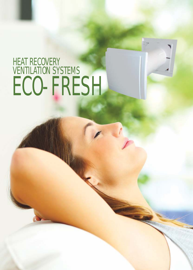# HEAT RECOVERY VENTILATION SYSTEMS ECO-FRESH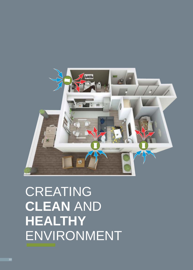

# CREATING **CLEAN** AND **HEALTHY** ENVIRONMENT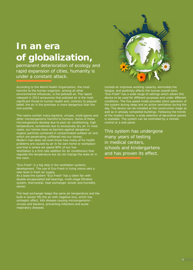## **In an era of globalization,**

permanent deterioration of ecology and rapid expansion of cities, humanity is under a constant attack.

According to the World Health Organization, the most harmful to the human organism, among all other environmental influences, is the polluted air. The report released in 2013 announces that polluted air is the most significant threat to human health and, contrary to popular belief, the air in the premises is more dangerous than the one outside.

The rooms contain many bacteria, viruses, mold spores and other microorganisms harmful to humans. Some of these microorganisms develop due to poor air conditioning, high temperature, sometimes due to excessively dry air. In most cases, our homes have no barriers against dangerous organic particles contained in contaminated outdoor air and which are penetrating unfiltered into our homes. Modern man does not even know how many of his health problems are caused by air in his own home or workplace and that is where we spend 90% of our live. Ventilation is a first-rate addition for air conditioners that regulate the temperature but do not change the stale air in the room.

"Eco-Fresh" is a big step in the ventilation systems development. The use of Eco-Fresh in living rooms sets a new level in fresh air supply. As a base the system "Eco-Fresh" has a silent fan with

double-encapsulated ball bearings, multi-stage filtration system, thermostat, heat exchanger, ionizer and humidity sensor.

The heat exchanger keeps the same air temperature and the built-in ionizer fills the air with negative ions, which has antiseptic effect, kills disease-causing microorganisms viruses and bacteria, preventing infections and acute respiratory diseases.



Ionized air improves working capacity, eliminates the fatigue, and positively affects the human overall tone. "Eco-Fresh" has a wide range of settings which allows this device to be used for different purposes and under different conditions. The five speed mode provides silent operation of the system during sleep and an active ventilation during the day. The device can be installed at the construction stage as well as in already completed buildings. Following the trends of the modern interior, a wide selection of decorative panels is available. The system can be controlled by a remote control or a wall panel.

This system has undergone many years of testing in medical centers, schools and kindergartens and has proven its effect.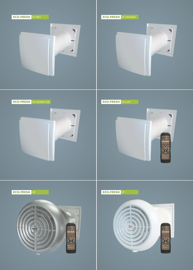







**ECO-FRESH**  01 Comfort / 03





#### **ECO-FRESH**  07



#### **ECO-FRESH**  01 LUX



**ECO-FRESH**  01 Standard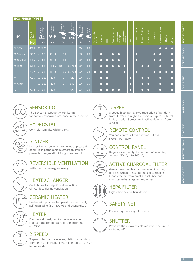#### **ECO-FRESH TYPES**

| <b>Type</b> | Product<br>Code<br><b>No</b> | Supply<br>Voltage<br>$\mathscr{V}_\gamma$<br>Hz/V | Maximum<br>Flow rate<br>$\leqslant$<br>$m^3/h$ | Consumed<br>power<br><b>FAN</b><br>W | Consumed<br>power<br><b>HEATER</b><br>W | Protection<br>Degree<br>₹<br>IP | Noise<br>Level<br>dB | monitoring<br>system<br>ŏ | Humidistat | lonizer | Reversible air flow | Ceramic heat<br>exchanger | Ceramic heater<br>50-400W | Heater | Fan<br><b>Blast</b><br>2 speeds | 5 speeds Blast Fan | Remote Control | Control Panel | charcoal filter<br>Active | <b>HEPA</b> filter | Safety net           |
|-------------|------------------------------|---------------------------------------------------|------------------------------------------------|--------------------------------------|-----------------------------------------|---------------------------------|----------------------|---------------------------|------------|---------|---------------------|---------------------------|---------------------------|--------|---------------------------------|--------------------|----------------|---------------|---------------------------|--------------------|----------------------|
| 01 SEV      | 4666                         | 50 / 230                                          | ۰.                                             |                                      | <b>COL</b>                              | X4                              | 28                   |                           |            |         |                     |                           |                           |        |                                 |                    |                |               | O                         |                    |                      |
|             |                              |                                                   |                                                |                                      |                                         |                                 |                      |                           |            |         |                     |                           |                           |        |                                 |                    |                |               |                           |                    |                      |
| 01 Standard | 8497                         | 50 / 230                                          | 45-70                                          | $5,5-9,2$                            | a.                                      | X <sub>4</sub>                  | 28                   |                           |            |         | $\cup$              |                           |                           |        | 8                               |                    |                | 8             |                           |                    | $\bigcirc$           |
| 01 Comfort  | 8985                         | 50 / 230                                          | 45-70                                          | $5,5-9,2$                            | a.                                      | X <sub>4</sub>                  | 28                   | r :                       |            |         |                     |                           |                           |        | ◠                               |                    |                | 8             |                           |                    | ∩                    |
| 01 LUX      | 9784                         | 50 / 230                                          | 35-85                                          | $6,9-19$                             | 50-400                                  | X4                              | 28                   |                           | ◠          |         | O                   |                           | г                         |        |                                 | г                  |                |               | O                         |                    | ∩                    |
| 03          | 2372                         | 50 / 230                                          | 45-70                                          | $5,5-9,2$                            | 50-400                                  | X4                              | 28                   | O                         |            |         |                     |                           | О                         |        |                                 |                    |                | n             |                           |                    |                      |
| 05          | 7025                         | 50 / 230                                          | 120                                            | 46                                   | 420                                     | X <sub>4</sub>                  | 36                   |                           | ◠          |         |                     |                           |                           | 0      |                                 | г                  |                |               | С                         |                    | ∩                    |
| 05 SIBIR    | ×.                           | 50 / 230                                          | 120                                            | 46                                   | 840                                     | X4                              | 36                   |                           | ◠          |         |                     |                           |                           | $\Box$ |                                 | г                  |                |               | O                         |                    | $\hspace{0.5cm}\Box$ |
| 07          | 7773                         | 50 / 230                                          | 120                                            | 16                                   | 420                                     | X4                              | 36                   |                           | ◠          |         |                     |                           |                           | $\Box$ |                                 | г                  |                |               | С                         |                    | $\Box$               |

#### **SENSOR CO**

The sensor is constantly monitoring for carbon monoxide presence in the premise.

HYDROSTAT

Controls humidity within 75%.

### IONIZER

 $\overline{\omega}$ 

Ionizes the air by which removes unpleasant odors, kills pathogenic microorganisms and prevents the growth of fungus and mold.

REVERSIBLE VENTILATION

With thermal energy recovery.

#### HEATEXCHANGER

Contributes to a significant reduction of heat loss during ventilation.

#### CERAMIC HEATER

Heater with positive temperature coefficient, self-regulating (50~400W) and economical.

#### HEATER

Economical, designed for pulse operation. Maintain the temperature of the incoming air 23°C.



#### **<sup>1</sup>** 2 SPEED

2 speed blast fan, allows regulation of fan duty from 45m<sup>3</sup>/h in night silent mode, up to 70m<sup>3</sup>/h in day mode.



#### **<sup>1</sup>** 5 SPEED

5 speed blast fan, allows regulation of fan duty from 30m<sup>3</sup>/h in night silent mode, up to 120m<sup>3</sup>/h in day mode. Serves for blasting clean air from outside.



#### REMOTE CONTROL

You can control all the functions of the system remotely



#### CONTROL PANEL

Regulates smoothly the amount of incoming air from 30m?/h to 100m?/h.

#### ACTIVE CHARCOAL FILTER

Guarantees the clean airflow even in strong polluted urban areas and industrial regions. Cleans the air from smells, dust, bacteria, soot, car exhaust gases and other.



#### **HEPA FILTER**

High efficiency particulate air.

#### SAFETY NET

Preventing the entry of insects.

#### SHUTTER

Prevents the inflow of cold air when the unit is switched off.